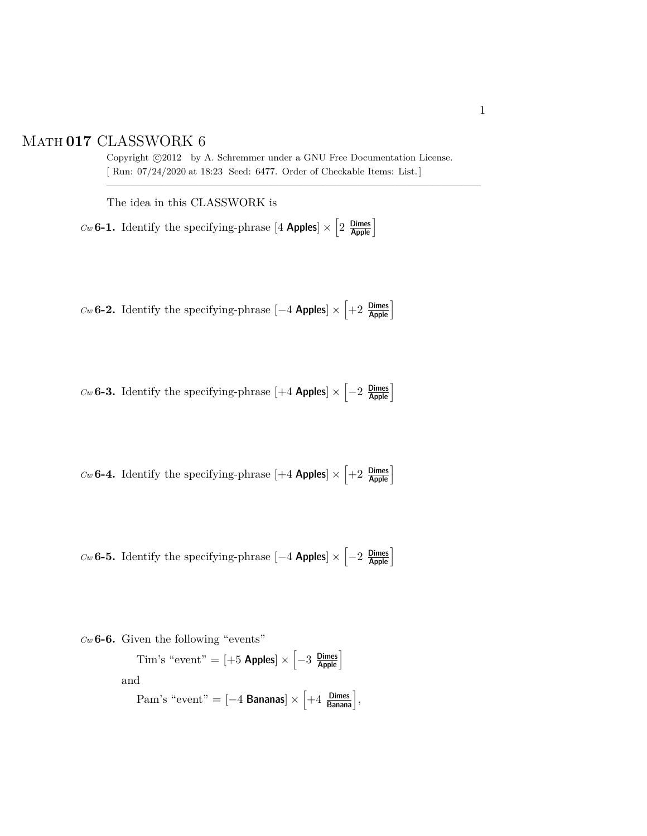## Math **017** CLASSWORK 6

Copyright  $\odot$ 2012 by A. Schremmer under a GNU Free Documentation License. [ Run: 07/24/2020 at 18:23 Seed: 6477. Order of Checkable Items: List.]

————————————————————————————————–

The idea in this CLASSWORK is

*Cw* **6-1.** Identify the specifying-phrase  $[4 \text{ Apple}] \times [2 \frac{\text{Dimes}}{\text{Apple}}]$ 

*Cw* **6-2.** Identify the specifying-phrase  $[-4$  Apples  $] \times [-2 \frac{\text{Dimes}}{\text{Apple}}]$ 

*Cw* **6-3.** Identify the specifying-phrase  $[+4$  **Apples** $] \times \left[-2 \frac{\text{Dimes}}{\text{Apple}}\right]$ 

 $Cw$  **6-4.** Identify the specifying-phrase  $[+4$  **Apples**  $] \times \left[+2 \frac{\text{Dimes}}{\text{Apple}}\right]$ 

*Cw* **6-5.** Identify the specifying-phrase  $[-4 \text{ Apple}] \times [-2 \frac{\text{Dimes}}{\text{Apple}}]$ 

*Cw* **6-6.** Given the following "events"

```
Tim's "event" = [+5 \text{ Apples}] \times \left[-3 \frac{\text{Dimes}}{\text{Apple}}\right]and
Pam's "event" = [-4 \text{ Bananas}] \times \left[ +4 \frac{\text{Dimes}}{\text{Banana}} \right],
```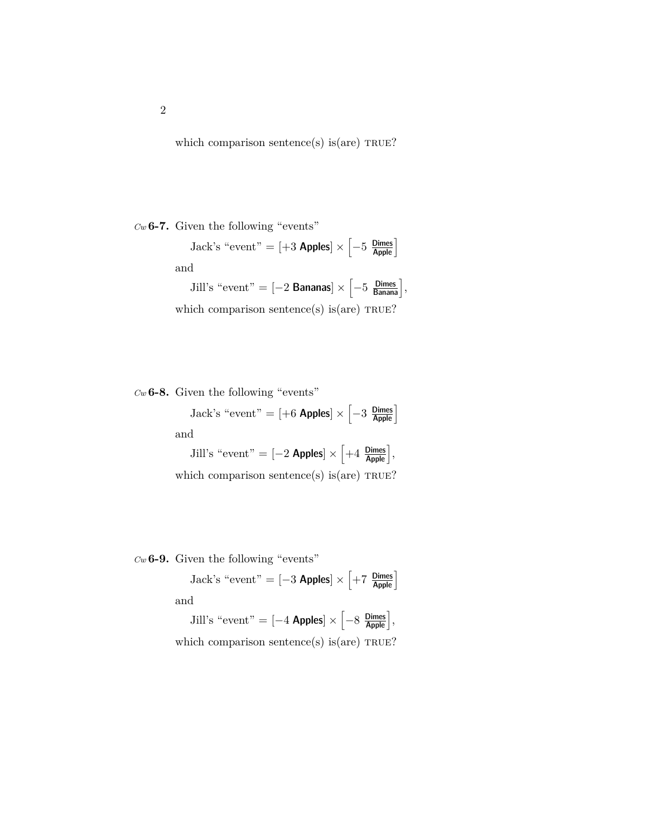which comparison sentence(s) is(are)  $TRUE$ ?

*Cw* **6-7.** Given the following "events"

Jack's "event" =  $[+3$  Apples]  $\times$   $\left[-5 \frac{\text{Dimes}}{\text{Apple}}\right]$ and Jill's "event" =  $[-2 \text{ Bananas}] \times \left[-5 \text{ }\frac{\text{Dimes}}{\text{Banana}}\right],$ 

which comparison sentence(s) is(are)  $TRUE$ ?

*Cw* **6-8.** Given the following "events"

Jack's "event" =  $[+6$  Apples]  $\times$   $\left[-3 \frac{\text{Dimes}}{\text{Apple}}\right]$ and

Jill's "event" =  $[-2 \text{ Apples}] \times \left[ +4 \frac{\text{Dimes}}{\text{Apple}} \right]$ , which comparison sentence(s) is(are)  $TRUE$ ?

*Cw* **6-9.** Given the following "events"

Jack's "event" =  $[-3$  Apples]  $\times$   $\left[+7 \frac{\text{Dimes}}{\text{Apple}}\right]$ and Jill's "event" =  $\left[-4 \text{ Apples}\right] \times \left[-8 \text{ P}_{\text{Apple}}\right],$ which comparison sentence(s) is(are)  $TRUE$ ?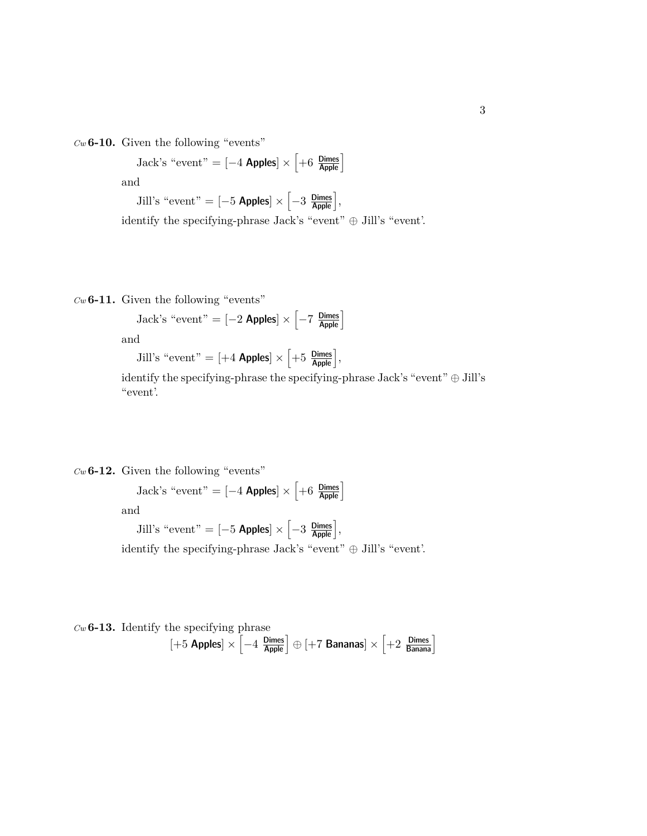*Cw* **6-10.** Given the following "events"

```
Jack's "event" = [-4 Apples] \times \left[+6 \frac{\text{Dimes}}{\text{Apple}}\right]
```
and

```
Jill's "event" = \left[-5 \text{ Apples}\right] \times \left[-3 \text{ P}_{\text{Apple}}\right],
```
identify the specifying-phrase Jack's "event" ⊕ Jill's "event'.

*Cw* **6-11.** Given the following "events"

```
Jack's "event" = [-2 \text{ Apple}] \times \left[-7 \frac{\text{Dimes}}{\text{Apple}}\right]
```
and

Jill's "event" = 
$$
[+4 \text{ Apples}] \times [+5 \frac{\text{Dimes}}{\text{Apple}}]
$$
,

identify the specifying-phrase the specifying-phrase Jack's "event" ⊕ Jill's "event'.

*Cw* **6-12.** Given the following "events"

Jack's "event" = 
$$
[-4 \text{ Apples}] \times \left[ +6 \frac{\text{Dimes}}{\text{Apple}} \right]
$$

and

Jill's "event"  $= [-5 \text{ Apples}] \times \left[-3 \text{ P}_{\text{Apple}}\right],$ 

identify the specifying-phrase Jack's "event" ⊕ Jill's "event'.

$$
Cw
$$
 6-13. Identify the specifying phrase  
\n
$$
[+5 \text{ Apples}] \times \left[-4 \text{ Dimes}\right] \oplus [+7 \text{ Bananas}] \times \left[+2 \text{ B}{\frac{\text{Dimes}}{\text{Banana}}}\right]
$$